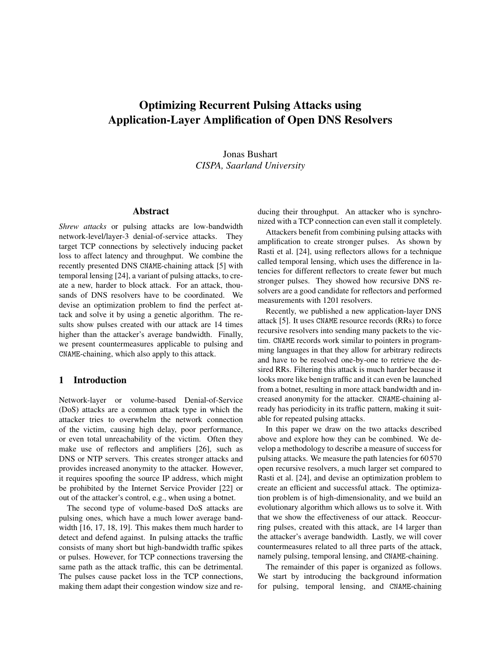# Optimizing Recurrent Pulsing Attacks using Application-Layer Amplification of Open DNS Resolvers

Jonas Bushart *CISPA, Saarland University*

## Abstract

*Shrew attacks* or pulsing attacks are low-bandwidth network-level/layer-3 denial-of-service attacks. They target TCP connections by selectively inducing packet loss to affect latency and throughput. We combine the recently presented DNS CNAME-chaining attack [\[5\]](#page-8-0) with temporal lensing [\[24\]](#page-9-0), a variant of pulsing attacks, to create a new, harder to block attack. For an attack, thousands of DNS resolvers have to be coordinated. We devise an optimization problem to find the perfect attack and solve it by using a genetic algorithm. The results show pulses created with our attack are 14 times higher than the attacker's average bandwidth. Finally, we present countermeasures applicable to pulsing and CNAME-chaining, which also apply to this attack.

#### 1 Introduction

Network-layer or volume-based Denial-of-Service (DoS) attacks are a common attack type in which the attacker tries to overwhelm the network connection of the victim, causing high delay, poor performance, or even total unreachability of the victim. Often they make use of reflectors and amplifiers [\[26\]](#page-9-1), such as DNS or NTP servers. This creates stronger attacks and provides increased anonymity to the attacker. However, it requires spoofing the source IP address, which might be prohibited by the Internet Service Provider [\[22\]](#page-9-2) or out of the attacker's control, e.g., when using a botnet.

The second type of volume-based DoS attacks are pulsing ones, which have a much lower average bandwidth [\[16,](#page-8-1) [17,](#page-9-3) [18,](#page-9-4) [19\]](#page-9-5). This makes them much harder to detect and defend against. In pulsing attacks the traffic consists of many short but high-bandwidth traffic spikes or pulses. However, for TCP connections traversing the same path as the attack traffic, this can be detrimental. The pulses cause packet loss in the TCP connections, making them adapt their congestion window size and reducing their throughput. An attacker who is synchronized with a TCP connection can even stall it completely.

Attackers benefit from combining pulsing attacks with amplification to create stronger pulses. As shown by Rasti et al. [\[24\]](#page-9-0), using reflectors allows for a technique called temporal lensing, which uses the difference in latencies for different reflectors to create fewer but much stronger pulses. They showed how recursive DNS resolvers are a good candidate for reflectors and performed measurements with 1201 resolvers.

Recently, we published a new application-layer DNS attack [\[5\]](#page-8-0). It uses CNAME resource records (RRs) to force recursive resolvers into sending many packets to the victim. CNAME records work similar to pointers in programming languages in that they allow for arbitrary redirects and have to be resolved one-by-one to retrieve the desired RRs. Filtering this attack is much harder because it looks more like benign traffic and it can even be launched from a botnet, resulting in more attack bandwidth and increased anonymity for the attacker. CNAME-chaining already has periodicity in its traffic pattern, making it suitable for repeated pulsing attacks.

In this paper we draw on the two attacks described above and explore how they can be combined. We develop a methodology to describe a measure of success for pulsing attacks. We measure the path latencies for 60 570 open recursive resolvers, a much larger set compared to Rasti et al. [\[24\]](#page-9-0), and devise an optimization problem to create an efficient and successful attack. The optimization problem is of high-dimensionality, and we build an evolutionary algorithm which allows us to solve it. With that we show the effectiveness of our attack. Reoccurring pulses, created with this attack, are 14 larger than the attacker's average bandwidth. Lastly, we will cover countermeasures related to all three parts of the attack, namely pulsing, temporal lensing, and CNAME-chaining.

The remainder of this paper is organized as follows. We start by introducing the background information for pulsing, temporal lensing, and CNAME-chaining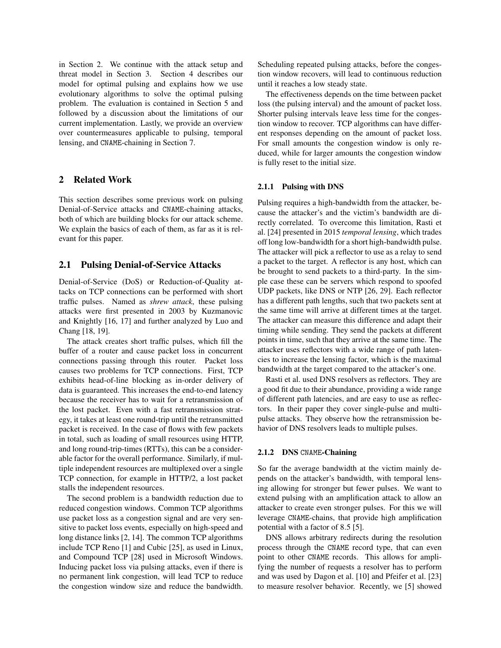in [Section 2.](#page-1-0) We continue with the attack setup and threat model in [Section 3.](#page-2-0) [Section 4](#page-3-0) describes our model for optimal pulsing and explains how we use evolutionary algorithms to solve the optimal pulsing problem. The evaluation is contained in [Section 5](#page-5-0) and followed by a discussion about the limitations of our current implementation. Lastly, we provide an overview over countermeasures applicable to pulsing, temporal lensing, and CNAME-chaining in [Section 7.](#page-7-0)

## <span id="page-1-0"></span>2 Related Work

This section describes some previous work on pulsing Denial-of-Service attacks and CNAME-chaining attacks, both of which are building blocks for our attack scheme. We explain the basics of each of them, as far as it is relevant for this paper.

#### 2.1 Pulsing Denial-of-Service Attacks

Denial-of-Service (DoS) or Reduction-of-Quality attacks on TCP connections can be performed with short traffic pulses. Named as *shrew attack*, these pulsing attacks were first presented in 2003 by Kuzmanovic and Knightly [\[16,](#page-8-1) [17\]](#page-9-3) and further analyzed by Luo and Chang [\[18,](#page-9-4) [19\]](#page-9-5).

The attack creates short traffic pulses, which fill the buffer of a router and cause packet loss in concurrent connections passing through this router. Packet loss causes two problems for TCP connections. First, TCP exhibits head-of-line blocking as in-order delivery of data is guaranteed. This increases the end-to-end latency because the receiver has to wait for a retransmission of the lost packet. Even with a fast retransmission strategy, it takes at least one round-trip until the retransmitted packet is received. In the case of flows with few packets in total, such as loading of small resources using HTTP, and long round-trip-times (RTTs), this can be a considerable factor for the overall performance. Similarly, if multiple independent resources are multiplexed over a single TCP connection, for example in HTTP/2, a lost packet stalls the independent resources.

The second problem is a bandwidth reduction due to reduced congestion windows. Common TCP algorithms use packet loss as a congestion signal and are very sensitive to packet loss events, especially on high-speed and long distance links [\[2,](#page-8-2) [14\]](#page-8-3). The common TCP algorithms include TCP Reno [\[1\]](#page-8-4) and Cubic [\[25\]](#page-9-6), as used in Linux, and Compound TCP [\[28\]](#page-9-7) used in Microsoft Windows. Inducing packet loss via pulsing attacks, even if there is no permanent link congestion, will lead TCP to reduce the congestion window size and reduce the bandwidth. Scheduling repeated pulsing attacks, before the congestion window recovers, will lead to continuous reduction until it reaches a low steady state.

The effectiveness depends on the time between packet loss (the pulsing interval) and the amount of packet loss. Shorter pulsing intervals leave less time for the congestion window to recover. TCP algorithms can have different responses depending on the amount of packet loss. For small amounts the congestion window is only reduced, while for larger amounts the congestion window is fully reset to the initial size.

#### 2.1.1 Pulsing with DNS

Pulsing requires a high-bandwidth from the attacker, because the attacker's and the victim's bandwidth are directly correlated. To overcome this limitation, Rasti et al. [\[24\]](#page-9-0) presented in 2015 *temporal lensing*, which trades off long low-bandwidth for a short high-bandwidth pulse. The attacker will pick a reflector to use as a relay to send a packet to the target. A reflector is any host, which can be brought to send packets to a third-party. In the simple case these can be servers which respond to spoofed UDP packets, like DNS or NTP [\[26,](#page-9-1) [29\]](#page-9-8). Each reflector has a different path lengths, such that two packets sent at the same time will arrive at different times at the target. The attacker can measure this difference and adapt their timing while sending. They send the packets at different points in time, such that they arrive at the same time. The attacker uses reflectors with a wide range of path latencies to increase the lensing factor, which is the maximal bandwidth at the target compared to the attacker's one.

Rasti et al. used DNS resolvers as reflectors. They are a good fit due to their abundance, providing a wide range of different path latencies, and are easy to use as reflectors. In their paper they cover single-pulse and multipulse attacks. They observe how the retransmission behavior of DNS resolvers leads to multiple pulses.

#### 2.1.2 DNS CNAME-Chaining

So far the average bandwidth at the victim mainly depends on the attacker's bandwidth, with temporal lensing allowing for stronger but fewer pulses. We want to extend pulsing with an amplification attack to allow an attacker to create even stronger pulses. For this we will leverage CNAME-chains, that provide high amplification potential with a factor of 8.5 [\[5\]](#page-8-0).

DNS allows arbitrary redirects during the resolution process through the CNAME record type, that can even point to other CNAME records. This allows for amplifying the number of requests a resolver has to perform and was used by Dagon et al. [\[10\]](#page-8-5) and Pfeifer et al. [\[23\]](#page-9-9) to measure resolver behavior. Recently, we [\[5\]](#page-8-0) showed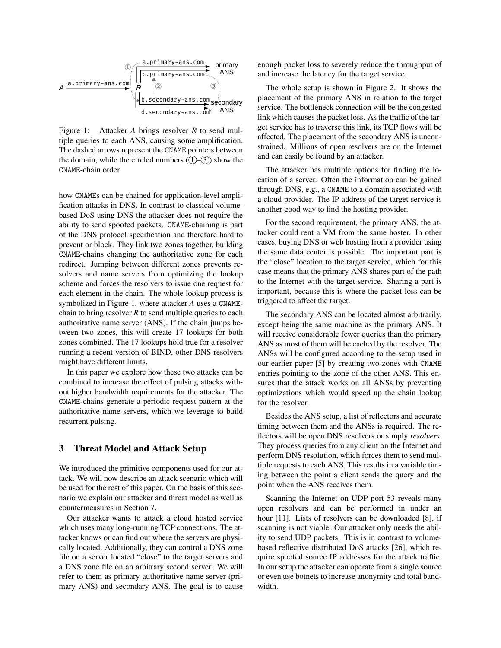

<span id="page-2-1"></span>Figure 1: Attacker *A* brings resolver *R* to send multiple queries to each ANS, causing some amplification. The dashed arrows represent the CNAME pointers between the domain, while the circled numbers  $(1)$ – $(3)$ ) show the CNAME-chain order.

how CNAMEs can be chained for application-level amplification attacks in DNS. In contrast to classical volumebased DoS using DNS the attacker does not require the ability to send spoofed packets. CNAME-chaining is part of the DNS protocol specification and therefore hard to prevent or block. They link two zones together, building CNAME-chains changing the authoritative zone for each redirect. Jumping between different zones prevents resolvers and name servers from optimizing the lookup scheme and forces the resolvers to issue one request for each element in the chain. The whole lookup process is symbolized in [Figure 1,](#page-2-1) where attacker *A* uses a CNAMEchain to bring resolver  $R$  to send multiple queries to each authoritative name server (ANS). If the chain jumps between two zones, this will create 17 lookups for both zones combined. The 17 lookups hold true for a resolver running a recent version of BIND, other DNS resolvers might have different limits.

In this paper we explore how these two attacks can be combined to increase the effect of pulsing attacks without higher bandwidth requirements for the attacker. The CNAME-chains generate a periodic request pattern at the authoritative name servers, which we leverage to build recurrent pulsing.

#### <span id="page-2-0"></span>3 Threat Model and Attack Setup

We introduced the primitive components used for our attack. We will now describe an attack scenario which will be used for the rest of this paper. On the basis of this scenario we explain our attacker and threat model as well as countermeasures in [Section 7.](#page-7-0)

Our attacker wants to attack a cloud hosted service which uses many long-running TCP connections. The attacker knows or can find out where the servers are physically located. Additionally, they can control a DNS zone file on a server located "close" to the target servers and a DNS zone file on an arbitrary second server. We will refer to them as primary authoritative name server (primary ANS) and secondary ANS. The goal is to cause enough packet loss to severely reduce the throughput of and increase the latency for the target service.

The whole setup is shown in [Figure 2.](#page-3-1) It shows the placement of the primary ANS in relation to the target service. The bottleneck connection will be the congested link which causes the packet loss. As the traffic of the target service has to traverse this link, its TCP flows will be affected. The placement of the secondary ANS is unconstrained. Millions of open resolvers are on the Internet and can easily be found by an attacker.

The attacker has multiple options for finding the location of a server. Often the information can be gained through DNS, e.g., a CNAME to a domain associated with a cloud provider. The IP address of the target service is another good way to find the hosting provider.

For the second requirement, the primary ANS, the attacker could rent a VM from the same hoster. In other cases, buying DNS or web hosting from a provider using the same data center is possible. The important part is the "close" location to the target service, which for this case means that the primary ANS shares part of the path to the Internet with the target service. Sharing a part is important, because this is where the packet loss can be triggered to affect the target.

The secondary ANS can be located almost arbitrarily, except being the same machine as the primary ANS. It will receive considerable fewer queries than the primary ANS as most of them will be cached by the resolver. The ANSs will be configured according to the setup used in our earlier paper [\[5\]](#page-8-0) by creating two zones with CNAME entries pointing to the zone of the other ANS. This ensures that the attack works on all ANSs by preventing optimizations which would speed up the chain lookup for the resolver.

Besides the ANS setup, a list of reflectors and accurate timing between them and the ANSs is required. The reflectors will be open DNS resolvers or simply *resolvers*. They process queries from any client on the Internet and perform DNS resolution, which forces them to send multiple requests to each ANS. This results in a variable timing between the point a client sends the query and the point when the ANS receives them.

Scanning the Internet on UDP port 53 reveals many open resolvers and can be performed in under an hour [\[11\]](#page-8-6). Lists of resolvers can be downloaded [\[8\]](#page-8-7), if scanning is not viable. Our attacker only needs the ability to send UDP packets. This is in contrast to volumebased reflective distributed DoS attacks [\[26\]](#page-9-1), which require spoofed source IP addresses for the attack traffic. In our setup the attacker can operate from a single source or even use botnets to increase anonymity and total bandwidth.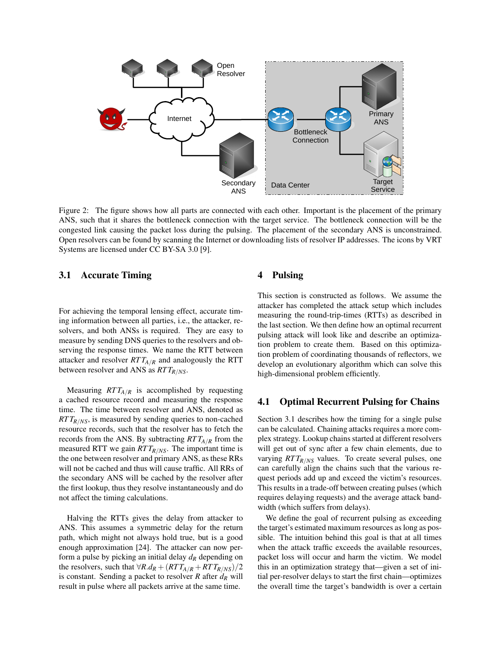

<span id="page-3-1"></span>Figure 2: The figure shows how all parts are connected with each other. Important is the placement of the primary ANS, such that it shares the bottleneck connection with the target service. The bottleneck connection will be the congested link causing the packet loss during the pulsing. The placement of the secondary ANS is unconstrained. Open resolvers can be found by scanning the Internet or downloading lists of resolver IP addresses. The icons by VRT Systems are licensed under CC BY-SA 3.0 [\[9\]](#page-8-8).

### <span id="page-3-2"></span>3.1 Accurate Timing

For achieving the temporal lensing effect, accurate timing information between all parties, i.e., the attacker, resolvers, and both ANSs is required. They are easy to measure by sending DNS queries to the resolvers and observing the response times. We name the RTT between attacker and resolver  $RTT_{A/R}$  and analogously the RTT between resolver and ANS as *RT TR*/*NS*.

Measuring  $RTT_{A/R}$  is accomplished by requesting a cached resource record and measuring the response time. The time between resolver and ANS, denoted as *RT TR*/*NS*, is measured by sending queries to non-cached resource records, such that the resolver has to fetch the records from the ANS. By subtracting  $RTT_{A/R}$  from the measured RTT we gain *RT TR*/*NS*. The important time is the one between resolver and primary ANS, as these RRs will not be cached and thus will cause traffic. All RRs of the secondary ANS will be cached by the resolver after the first lookup, thus they resolve instantaneously and do not affect the timing calculations.

Halving the RTTs gives the delay from attacker to ANS. This assumes a symmetric delay for the return path, which might not always hold true, but is a good enough approximation [\[24\]](#page-9-0). The attacker can now perform a pulse by picking an initial delay *d<sup>R</sup>* depending on the resolvers, such that  $\forall R.d_R + (RTT_{A/R} + RTT_{R/NS})/2$ is constant. Sending a packet to resolver *R* after *d<sup>R</sup>* will result in pulse where all packets arrive at the same time.

## <span id="page-3-0"></span>4 Pulsing

This section is constructed as follows. We assume the attacker has completed the attack setup which includes measuring the round-trip-times (RTTs) as described in the last section. We then define how an optimal recurrent pulsing attack will look like and describe an optimization problem to create them. Based on this optimization problem of coordinating thousands of reflectors, we develop an evolutionary algorithm which can solve this high-dimensional problem efficiently.

#### 4.1 Optimal Recurrent Pulsing for Chains

[Section 3.1](#page-3-2) describes how the timing for a single pulse can be calculated. Chaining attacks requires a more complex strategy. Lookup chains started at different resolvers will get out of sync after a few chain elements, due to varying  $RTT_{R/NS}$  values. To create several pulses, one can carefully align the chains such that the various request periods add up and exceed the victim's resources. This results in a trade-off between creating pulses (which requires delaying requests) and the average attack bandwidth (which suffers from delays).

We define the goal of recurrent pulsing as exceeding the target's estimated maximum resources as long as possible. The intuition behind this goal is that at all times when the attack traffic exceeds the available resources, packet loss will occur and harm the victim. We model this in an optimization strategy that—given a set of initial per-resolver delays to start the first chain—optimizes the overall time the target's bandwidth is over a certain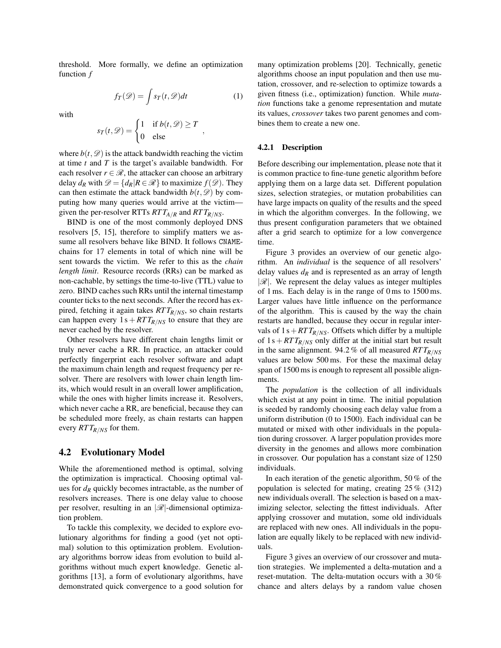threshold. More formally, we define an optimization function *f*

<span id="page-4-0"></span> $f_T(\mathscr{D}) = \int s_T(t, \mathscr{D}) dt$  (1)

,

with

$$
s_T(t, \mathcal{D}) = \begin{cases} 1 & \text{if } b(t, \mathcal{D}) \ge T \\ 0 & \text{else} \end{cases}
$$

where  $b(t, \mathcal{D})$  is the attack bandwidth reaching the victim at time *t* and *T* is the target's available bandwidth. For each resolver  $r \in \mathcal{R}$ , the attacker can choose an arbitrary delay  $d_R$  with  $\mathcal{D} = \{d_R | R \in \mathcal{R}\}$  to maximize  $f(\mathcal{D})$ . They can then estimate the attack bandwidth  $b(t, \mathcal{D})$  by computing how many queries would arrive at the victim given the per-resolver RTTs *RT TA*/*<sup>R</sup>* and *RT TR*/*NS*.

BIND is one of the most commonly deployed DNS resolvers [\[5,](#page-8-0) [15\]](#page-8-9), therefore to simplify matters we assume all resolvers behave like BIND. It follows CNAMEchains for 17 elements in total of which nine will be sent towards the victim. We refer to this as the *chain length limit*. Resource records (RRs) can be marked as non-cachable, by settings the time-to-live (TTL) value to zero. BIND caches such RRs until the internal timestamp counter ticks to the next seconds. After the record has expired, fetching it again takes *RT TR*/*NS*, so chain restarts can happen every  $1 s + RTT_{R/NS}$  to ensure that they are never cached by the resolver.

Other resolvers have different chain lengths limit or truly never cache a RR. In practice, an attacker could perfectly fingerprint each resolver software and adapt the maximum chain length and request frequency per resolver. There are resolvers with lower chain length limits, which would result in an overall lower amplification, while the ones with higher limits increase it. Resolvers, which never cache a RR, are beneficial, because they can be scheduled more freely, as chain restarts can happen every  $RTT_{R/NS}$  for them.

## 4.2 Evolutionary Model

While the aforementioned method is optimal, solving the optimization is impractical. Choosing optimal values for  $d<sub>R</sub>$  quickly becomes intractable, as the number of resolvers increases. There is one delay value to choose per resolver, resulting in an  $|\mathscr{R}|$ -dimensional optimization problem.

To tackle this complexity, we decided to explore evolutionary algorithms for finding a good (yet not optimal) solution to this optimization problem. Evolutionary algorithms borrow ideas from evolution to build algorithms without much expert knowledge. Genetic algorithms [\[13\]](#page-8-10), a form of evolutionary algorithms, have demonstrated quick convergence to a good solution for many optimization problems [\[20\]](#page-9-10). Technically, genetic algorithms choose an input population and then use mutation, crossover, and re-selection to optimize towards a given fitness (i.e., optimization) function. While *mutation* functions take a genome representation and mutate its values, *crossover* takes two parent genomes and combines them to create a new one.

#### 4.2.1 Description

Before describing our implementation, please note that it is common practice to fine-tune genetic algorithm before applying them on a large data set. Different population sizes, selection strategies, or mutation probabilities can have large impacts on quality of the results and the speed in which the algorithm converges. In the following, we thus present configuration parameters that we obtained after a grid search to optimize for a low convergence time.

[Figure 3](#page-5-1) provides an overview of our genetic algorithm. An *individual* is the sequence of all resolvers' delay values  $d<sub>R</sub>$  and is represented as an array of length  $|\mathscr{R}|$ . We represent the delay values as integer multiples of 1 ms. Each delay is in the range of 0 ms to 1500 ms. Larger values have little influence on the performance of the algorithm. This is caused by the way the chain restarts are handled, because they occur in regular intervals of  $1 s + RT T_{R/NS}$ . Offsets which differ by a multiple of  $1 s + RTT_{R/NS}$  only differ at the initial start but result in the same alignment. 94.2 % of all measured *RT TR*/*NS* values are below 500 ms. For these the maximal delay span of 1500 ms is enough to represent all possible alignments.

The *population* is the collection of all individuals which exist at any point in time. The initial population is seeded by randomly choosing each delay value from a uniform distribution (0 to 1500). Each individual can be mutated or mixed with other individuals in the population during crossover. A larger population provides more diversity in the genomes and allows more combination in crossover. Our population has a constant size of 1250 individuals.

In each iteration of the genetic algorithm, 50 % of the population is selected for mating, creating 25 % (312) new individuals overall. The selection is based on a maximizing selector, selecting the fittest individuals. After applying crossover and mutation, some old individuals are replaced with new ones. All individuals in the population are equally likely to be replaced with new individuals.

[Figure 3](#page-5-1) gives an overview of our crossover and mutation strategies. We implemented a delta-mutation and a reset-mutation. The delta-mutation occurs with a 30 % chance and alters delays by a random value chosen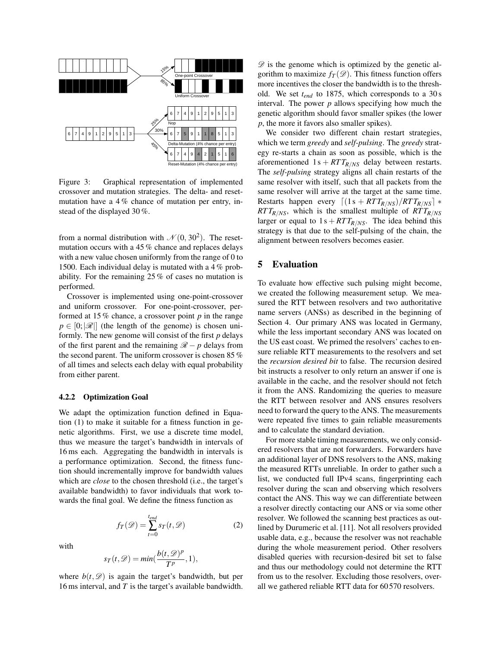

<span id="page-5-1"></span>Figure 3: Graphical representation of implemented crossover and mutation strategies. The delta- and resetmutation have a 4 % chance of mutation per entry, instead of the displayed 30 %.

from a normal distribution with  $\mathcal{N}(0, 30^2)$ . The resetmutation occurs with a 45 % chance and replaces delays with a new value chosen uniformly from the range of 0 to 1500. Each individual delay is mutated with a 4 % probability. For the remaining 25 % of cases no mutation is performed.

Crossover is implemented using one-point-crossover and uniform crossover. For one-point-crossover, performed at 15 % chance, a crossover point *p* in the range  $p \in [0;|\mathscr{R}|]$  (the length of the genome) is chosen uniformly. The new genome will consist of the first *p* delays of the first parent and the remaining  $\mathcal{R} - p$  delays from the second parent. The uniform crossover is chosen 85 % of all times and selects each delay with equal probability from either parent.

#### 4.2.2 Optimization Goal

We adapt the optimization function defined in [Equa](#page-4-0)[tion \(1\)](#page-4-0) to make it suitable for a fitness function in genetic algorithms. First, we use a discrete time model, thus we measure the target's bandwidth in intervals of 16 ms each. Aggregating the bandwidth in intervals is a performance optimization. Second, the fitness function should incrementally improve for bandwidth values which are *close* to the chosen threshold (i.e., the target's available bandwidth) to favor individuals that work towards the final goal. We define the fitness function as

$$
f_T(\mathcal{D}) = \sum_{t=0}^{t_{end}} s_T(t, \mathcal{D})
$$
 (2)

with

$$
s_T(t, \mathscr{D}) = \min(\frac{b(t, \mathscr{D})^p}{T^p}, 1),
$$

where  $b(t, \mathcal{D})$  is again the target's bandwidth, but per 16 ms interval, and *T* is the target's available bandwidth.

 $\mathscr{D}$  is the genome which is optimized by the genetic algorithm to maximize  $f_T(\mathscr{D})$ . This fitness function offers more incentives the closer the bandwidth is to the threshold. We set *tend* to 1875, which corresponds to a 30 s interval. The power *p* allows specifying how much the genetic algorithm should favor smaller spikes (the lower *p*, the more it favors also smaller spikes).

We consider two different chain restart strategies, which we term *greedy* and *self-pulsing*. The *greedy* strategy re-starts a chain as soon as possible, which is the aforementioned  $1 s + RTT<sub>R/NS</sub>$  delay between restarts. The *self-pulsing* strategy aligns all chain restarts of the same resolver with itself, such that all packets from the same resolver will arrive at the target at the same time. Restarts happen every  $\left[ (1 s + RT T_{R/NS})/RT T_{R/NS} \right] *$  $RTT_{R/NS}$ , which is the smallest multiple of  $RTT_{R/NS}$ larger or equal to  $1s + RTT_R/N_S$ . The idea behind this strategy is that due to the self-pulsing of the chain, the alignment between resolvers becomes easier.

## <span id="page-5-0"></span>5 Evaluation

To evaluate how effective such pulsing might become, we created the following measurement setup. We measured the RTT between resolvers and two authoritative name servers (ANSs) as described in the beginning of [Section 4.](#page-3-0) Our primary ANS was located in Germany, while the less important secondary ANS was located on the US east coast. We primed the resolvers' caches to ensure reliable RTT measurements to the resolvers and set the *recursion desired bit* to false. The recursion desired bit instructs a resolver to only return an answer if one is available in the cache, and the resolver should not fetch it from the ANS. Randomizing the queries to measure the RTT between resolver and ANS ensures resolvers need to forward the query to the ANS. The measurements were repeated five times to gain reliable measurements and to calculate the standard deviation.

For more stable timing measurements, we only considered resolvers that are not forwarders. Forwarders have an additional layer of DNS resolvers to the ANS, making the measured RTTs unreliable. In order to gather such a list, we conducted full IPv4 scans, fingerprinting each resolver during the scan and observing which resolvers contact the ANS. This way we can differentiate between a resolver directly contacting our ANS or via some other resolver. We followed the scanning best practices as outlined by Durumeric et al. [\[11\]](#page-8-6). Not all resolvers provided usable data, e.g., because the resolver was not reachable during the whole measurement period. Other resolvers disabled queries with recursion-desired bit set to false and thus our methodology could not determine the RTT from us to the resolver. Excluding those resolvers, overall we gathered reliable RTT data for 60 570 resolvers.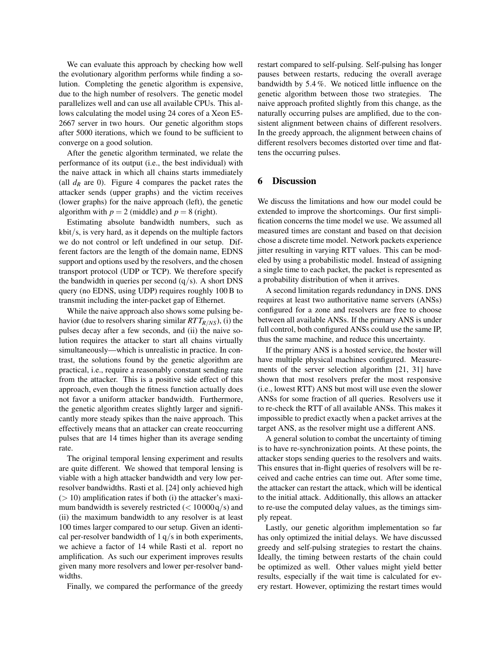We can evaluate this approach by checking how well the evolutionary algorithm performs while finding a solution. Completing the genetic algorithm is expensive, due to the high number of resolvers. The genetic model parallelizes well and can use all available CPUs. This allows calculating the model using 24 cores of a Xeon E5- 2667 server in two hours. Our genetic algorithm stops after 5000 iterations, which we found to be sufficient to converge on a good solution.

After the genetic algorithm terminated, we relate the performance of its output (i.e., the best individual) with the naive attack in which all chains starts immediately (all  $d<sub>R</sub>$  are 0). [Figure 4](#page-7-1) compares the packet rates the attacker sends (upper graphs) and the victim receives (lower graphs) for the naive approach (left), the genetic algorithm with  $p = 2$  (middle) and  $p = 8$  (right).

Estimating absolute bandwidth numbers, such as kbit/s, is very hard, as it depends on the multiple factors we do not control or left undefined in our setup. Different factors are the length of the domain name, EDNS support and options used by the resolvers, and the chosen transport protocol (UDP or TCP). We therefore specify the bandwidth in queries per second  $(q/s)$ . A short DNS query (no EDNS, using UDP) requires roughly 100 B to transmit including the inter-packet gap of Ethernet.

While the naive approach also shows some pulsing behavior (due to resolvers sharing similar *RT TR*/*NS*), (i) the pulses decay after a few seconds, and (ii) the naive solution requires the attacker to start all chains virtually simultaneously—which is unrealistic in practice. In contrast, the solutions found by the genetic algorithm are practical, i.e., require a reasonably constant sending rate from the attacker. This is a positive side effect of this approach, even though the fitness function actually does not favor a uniform attacker bandwidth. Furthermore, the genetic algorithm creates slightly larger and significantly more steady spikes than the naive approach. This effectively means that an attacker can create reoccurring pulses that are 14 times higher than its average sending rate.

The original temporal lensing experiment and results are quite different. We showed that temporal lensing is viable with a high attacker bandwidth and very low perresolver bandwidths. Rasti et al. [\[24\]](#page-9-0) only achieved high  $(> 10)$  amplification rates if both (i) the attacker's maximum bandwidth is severely restricted  $(< 10000 q/s)$  and (ii) the maximum bandwidth to any resolver is at least 100 times larger compared to our setup. Given an identical per-resolver bandwidth of  $1 q/s$  in both experiments, we achieve a factor of 14 while Rasti et al. report no amplification. As such our experiment improves results given many more resolvers and lower per-resolver bandwidths.

Finally, we compared the performance of the greedy

restart compared to self-pulsing. Self-pulsing has longer pauses between restarts, reducing the overall average bandwidth by 5.4 %. We noticed little influence on the genetic algorithm between those two strategies. The naive approach profited slightly from this change, as the naturally occurring pulses are amplified, due to the consistent alignment between chains of different resolvers. In the greedy approach, the alignment between chains of different resolvers becomes distorted over time and flattens the occurring pulses.

## 6 Discussion

We discuss the limitations and how our model could be extended to improve the shortcomings. Our first simplification concerns the time model we use. We assumed all measured times are constant and based on that decision chose a discrete time model. Network packets experience jitter resulting in varying RTT values. This can be modeled by using a probabilistic model. Instead of assigning a single time to each packet, the packet is represented as a probability distribution of when it arrives.

A second limitation regards redundancy in DNS. DNS requires at least two authoritative name servers (ANSs) configured for a zone and resolvers are free to choose between all available ANSs. If the primary ANS is under full control, both configured ANSs could use the same IP, thus the same machine, and reduce this uncertainty.

If the primary ANS is a hosted service, the hoster will have multiple physical machines configured. Measurements of the server selection algorithm [\[21,](#page-9-11) [31\]](#page-9-12) have shown that most resolvers prefer the most responsive (i.e., lowest RTT) ANS but most will use even the slower ANSs for some fraction of all queries. Resolvers use it to re-check the RTT of all available ANSs. This makes it impossible to predict exactly when a packet arrives at the target ANS, as the resolver might use a different ANS.

A general solution to combat the uncertainty of timing is to have re-synchronization points. At these points, the attacker stops sending queries to the resolvers and waits. This ensures that in-flight queries of resolvers will be received and cache entries can time out. After some time, the attacker can restart the attack, which will be identical to the initial attack. Additionally, this allows an attacker to re-use the computed delay values, as the timings simply repeat.

Lastly, our genetic algorithm implementation so far has only optimized the initial delays. We have discussed greedy and self-pulsing strategies to restart the chains. Ideally, the timing between restarts of the chain could be optimized as well. Other values might yield better results, especially if the wait time is calculated for every restart. However, optimizing the restart times would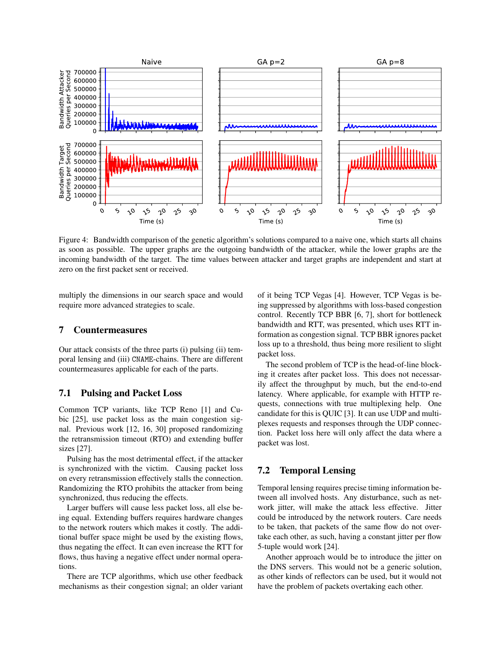

<span id="page-7-1"></span>Figure 4: Bandwidth comparison of the genetic algorithm's solutions compared to a naive one, which starts all chains as soon as possible. The upper graphs are the outgoing bandwidth of the attacker, while the lower graphs are the incoming bandwidth of the target. The time values between attacker and target graphs are independent and start at zero on the first packet sent or received.

multiply the dimensions in our search space and would require more advanced strategies to scale.

# <span id="page-7-0"></span>7 Countermeasures

Our attack consists of the three parts (i) pulsing (ii) temporal lensing and (iii) CNAME-chains. There are different countermeasures applicable for each of the parts.

## 7.1 Pulsing and Packet Loss

Common TCP variants, like TCP Reno [\[1\]](#page-8-4) and Cubic [\[25\]](#page-9-6), use packet loss as the main congestion signal. Previous work [\[12,](#page-8-11) [16,](#page-8-1) [30\]](#page-9-13) proposed randomizing the retransmission timeout (RTO) and extending buffer sizes [\[27\]](#page-9-14).

Pulsing has the most detrimental effect, if the attacker is synchronized with the victim. Causing packet loss on every retransmission effectively stalls the connection. Randomizing the RTO prohibits the attacker from being synchronized, thus reducing the effects.

Larger buffers will cause less packet loss, all else being equal. Extending buffers requires hardware changes to the network routers which makes it costly. The additional buffer space might be used by the existing flows, thus negating the effect. It can even increase the RTT for flows, thus having a negative effect under normal operations.

There are TCP algorithms, which use other feedback mechanisms as their congestion signal; an older variant of it being TCP Vegas [\[4\]](#page-8-12). However, TCP Vegas is being suppressed by algorithms with loss-based congestion control. Recently TCP BBR [\[6,](#page-8-13) [7\]](#page-8-14), short for bottleneck bandwidth and RTT, was presented, which uses RTT information as congestion signal. TCP BBR ignores packet loss up to a threshold, thus being more resilient to slight packet loss.

The second problem of TCP is the head-of-line blocking it creates after packet loss. This does not necessarily affect the throughput by much, but the end-to-end latency. Where applicable, for example with HTTP requests, connections with true multiplexing help. One candidate for this is QUIC [\[3\]](#page-8-15). It can use UDP and multiplexes requests and responses through the UDP connection. Packet loss here will only affect the data where a packet was lost.

## 7.2 Temporal Lensing

Temporal lensing requires precise timing information between all involved hosts. Any disturbance, such as network jitter, will make the attack less effective. Jitter could be introduced by the network routers. Care needs to be taken, that packets of the same flow do not overtake each other, as such, having a constant jitter per flow 5-tuple would work [\[24\]](#page-9-0).

Another approach would be to introduce the jitter on the DNS servers. This would not be a generic solution, as other kinds of reflectors can be used, but it would not have the problem of packets overtaking each other.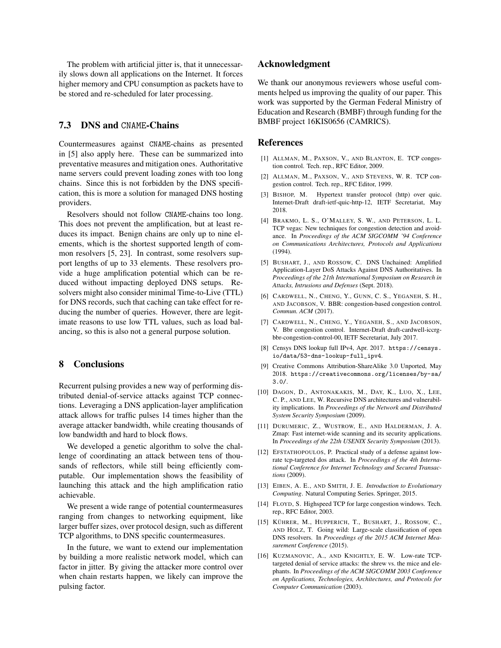The problem with artificial jitter is, that it unnecessarily slows down all applications on the Internet. It forces higher memory and CPU consumption as packets have to be stored and re-scheduled for later processing.

#### 7.3 DNS and CNAME-Chains

Countermeasures against CNAME-chains as presented in [\[5\]](#page-8-0) also apply here. These can be summarized into preventative measures and mitigation ones. Authoritative name servers could prevent loading zones with too long chains. Since this is not forbidden by the DNS specification, this is more a solution for managed DNS hosting providers.

Resolvers should not follow CNAME-chains too long. This does not prevent the amplification, but at least reduces its impact. Benign chains are only up to nine elements, which is the shortest supported length of common resolvers [\[5,](#page-8-0) [23\]](#page-9-9). In contrast, some resolvers support lengths of up to 33 elements. These resolvers provide a huge amplification potential which can be reduced without impacting deployed DNS setups. Resolvers might also consider minimal Time-to-Live (TTL) for DNS records, such that caching can take effect for reducing the number of queries. However, there are legitimate reasons to use low TTL values, such as load balancing, so this is also not a general purpose solution.

## 8 Conclusions

Recurrent pulsing provides a new way of performing distributed denial-of-service attacks against TCP connections. Leveraging a DNS application-layer amplification attack allows for traffic pulses 14 times higher than the average attacker bandwidth, while creating thousands of low bandwidth and hard to block flows.

We developed a genetic algorithm to solve the challenge of coordinating an attack between tens of thousands of reflectors, while still being efficiently computable. Our implementation shows the feasibility of launching this attack and the high amplification ratio achievable.

We present a wide range of potential countermeasures ranging from changes to networking equipment, like larger buffer sizes, over protocol design, such as different TCP algorithms, to DNS specific countermeasures.

In the future, we want to extend our implementation by building a more realistic network model, which can factor in jitter. By giving the attacker more control over when chain restarts happen, we likely can improve the pulsing factor.

## Acknowledgment

We thank our anonymous reviewers whose useful comments helped us improving the quality of our paper. This work was supported by the German Federal Ministry of Education and Research (BMBF) through funding for the BMBF project 16KIS0656 (CAMRICS).

#### References

- <span id="page-8-4"></span>[1] ALLMAN, M., PAXSON, V., AND BLANTON, E. TCP congestion control. Tech. rep., RFC Editor, 2009.
- <span id="page-8-2"></span>[2] ALLMAN, M., PAXSON, V., AND STEVENS, W. R. TCP congestion control. Tech. rep., RFC Editor, 1999.
- <span id="page-8-15"></span>[3] BISHOP, M. Hypertext transfer protocol (http) over quic. Internet-Draft draft-ietf-quic-http-12, IETF Secretariat, May 2018.
- <span id="page-8-12"></span>[4] BRAKMO, L. S., O'MALLEY, S. W., AND PETERSON, L. L. TCP vegas: New techniques for congestion detection and avoidance. In *Proceedings of the ACM SIGCOMM '94 Conference on Communications Architectures, Protocols and Applications* (1994).
- <span id="page-8-0"></span>[5] BUSHART, J., AND ROSSOW, C. DNS Unchained: Amplified Application-Layer DoS Attacks Against DNS Authoritatives. In *Proceedings of the 21th International Symposium on Research in Attacks, Intrusions and Defenses* (Sept. 2018).
- <span id="page-8-13"></span>[6] CARDWELL, N., CHENG, Y., GUNN, C. S., YEGANEH, S. H., AND JACOBSON, V. BBR: congestion-based congestion control. *Commun. ACM* (2017).
- <span id="page-8-14"></span>[7] CARDWELL, N., CHENG, Y., YEGANEH, S., AND JACOBSON, V. Bbr congestion control. Internet-Draft draft-cardwell-iccrgbbr-congestion-control-00, IETF Secretariat, July 2017.
- <span id="page-8-7"></span>[8] Censys DNS lookup full IPv4, Apr. 2017. [https://censys.](https://censys.io/data/53-dns-lookup-full_ipv4) [io/data/53-dns-lookup-full\\_ipv4](https://censys.io/data/53-dns-lookup-full_ipv4).
- <span id="page-8-8"></span>[9] Creative Commons Attribution-ShareAlike 3.0 Unported, May 2018. [https://creativecommons.org/licenses/by-sa/](https://creativecommons.org/licenses/by-sa/3.0/) [3.0/](https://creativecommons.org/licenses/by-sa/3.0/).
- <span id="page-8-5"></span>[10] DAGON, D., ANTONAKAKIS, M., DAY, K., LUO, X., LEE, C. P., AND LEE, W. Recursive DNS architectures and vulnerability implications. In *Proceedings of the Network and Distributed System Security Symposium* (2009).
- <span id="page-8-6"></span>[11] DURUMERIC, Z., WUSTROW, E., AND HALDERMAN, J. A. Zmap: Fast internet-wide scanning and its security applications. In *Proceedings of the 22th USENIX Security Symposium* (2013).
- <span id="page-8-11"></span>[12] EFSTATHOPOULOS, P. Practical study of a defense against lowrate tcp-targeted dos attack. In *Proceedings of the 4th International Conference for Internet Technology and Secured Transactions* (2009).
- <span id="page-8-10"></span>[13] EIBEN, A. E., AND SMITH, J. E. *Introduction to Evolutionary Computing*. Natural Computing Series. Springer, 2015.
- <span id="page-8-3"></span>[14] FLOYD, S. Highspeed TCP for large congestion windows. Tech. rep., RFC Editor, 2003.
- <span id="page-8-9"></span>[15] KÜHRER, M., HUPPERICH, T., BUSHART, J., ROSSOW, C., AND HOLZ, T. Going wild: Large-scale classification of open DNS resolvers. In *Proceedings of the 2015 ACM Internet Measurement Conference* (2015).
- <span id="page-8-1"></span>[16] KUZMANOVIC, A., AND KNIGHTLY, E. W. Low-rate TCPtargeted denial of service attacks: the shrew vs. the mice and elephants. In *Proceedings of the ACM SIGCOMM 2003 Conference on Applications, Technologies, Architectures, and Protocols for Computer Communication* (2003).